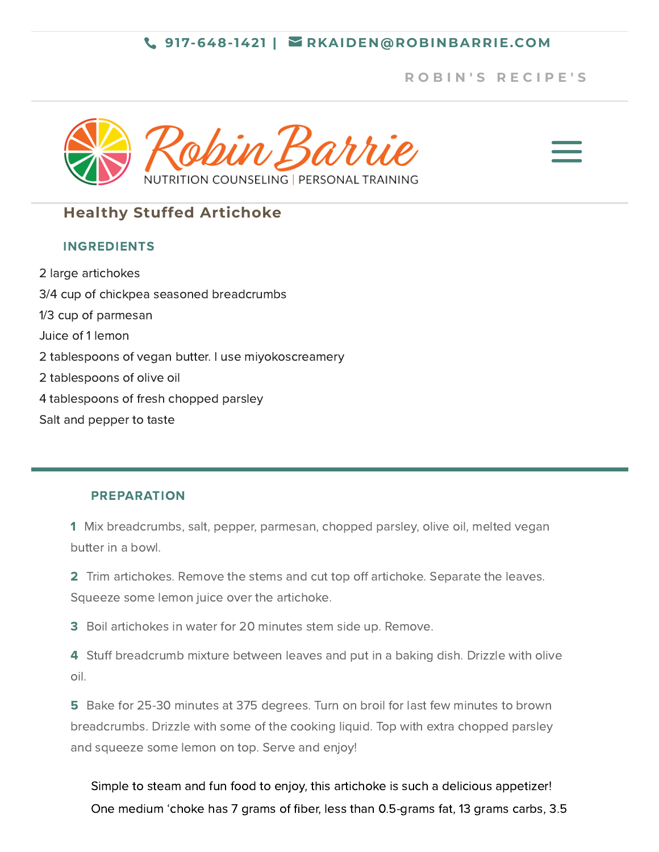### **917-648-1421 | [RKAIDEN@ROBINBARRIE.COM](mailto:rkaiden@robinbarrie.com)**

## **R [O](https://robinbarrie.com/recipes/) B I N ' S R E C I P E ' S**





# **Healthy Stuffed Artichoke**

### INGREDIENTS

2 large artichokes 3/4 cup of chickpea seasoned breadcrumbs 1/3 cup of parmesan Juice of 1 lemon 2 tablespoons of vegan butter. I use miyokoscreamery 2 tablespoons of olive oil 4 tablespoons of fresh chopped parsley Salt and pepper to taste

#### PREPARATION

- 1 Mix breadcrumbs, salt, pepper, parmesan, chopped parsley, olive oil, melted vegan butter in a bowl.
- 2 Trim artichokes. Remove the stems and cut top off artichoke. Separate the leaves. Squeeze some lemon juice over the artichoke.
- 3 Boil artichokes in water for 20 minutes stem side up. Remove.
- 4 Stuff breadcrumb mixture between leaves and put in a baking dish. Drizzle with olive oil.
- 5 Bake for 25-30 minutes at 375 degrees. Turn on broil for last few minutes to brown breadcrumbs. Drizzle with some of the cooking liquid. Top with extra chopped parsley and squeeze some lemon on top. Serve and enjoy!
	- Simple to steam and fun food to enjoy, this artichoke is such a delicious appetizer! One medium 'choke has 7 grams of fiber, less than 0.5-grams fat, 13 grams carbs, 3.5